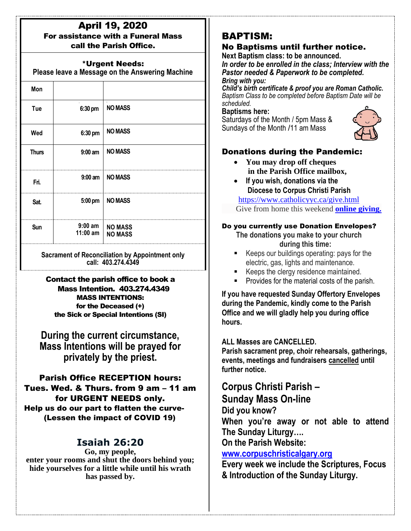#### April 19, 2020 For assistance with a Funeral Mass call the Parish Office.

## \*Urgent Needs:

**Please leave a Message on the Answering Machine**

| Mon                                                                          |                         |                                  |
|------------------------------------------------------------------------------|-------------------------|----------------------------------|
| Tue                                                                          | 6:30 pm                 | <b>NO MASS</b>                   |
| Wed                                                                          | 6:30 pm                 | <b>NO MASS</b>                   |
| <b>Thurs</b>                                                                 | $9:00$ am               | <b>NO MASS</b>                   |
| Fri.                                                                         | $9:00$ am               | <b>NO MASS</b>                   |
| Sat.                                                                         | $5:00 \text{ pm}$       | <b>NO MASS</b>                   |
| Sun                                                                          | $9:00$ am<br>$11:00$ am | <b>NO MASS</b><br><b>NO MASS</b> |
| <b>Sacrament of Reconciliation by Appointment only</b><br>call: 403.274.4349 |                         |                                  |

Contact the parish office to book a Mass Intention. 403.274.4349 MASS INTENTIONS: for the Deceased (+) the Sick or Special Intentions (SI)

**During the current circumstance, Mass Intentions will be prayed for privately by the priest.**

Parish Office RECEPTION hours: Tues. Wed. & Thurs. from 9 am – 11 am for URGENT NEEDS only. Help us do our part to flatten the curve- (Lessen the impact of COVID 19)

## **Isaiah 26:20**

**Go, my people, enter your rooms and shut the doors behind you; hide yourselves for a little while until his wrath has passed by.**

# BAPTISM:

## No Baptisms until further notice.

**Next Baptism class: to be announced.**

*In order to be enrolled in the class; Interview with the Pastor needed & Paperwork to be completed. Bring with you:*

*Child's birth certificate & proof you are Roman Catholic. Baptism Class to be completed before Baptism Date will be scheduled.*

**Baptisms here:**

Saturdays of the Month / 5pm Mass & Sundays of the Month /11 am Mass



## Donations during the Pandemic:

- **You may drop off cheques in the Parish Office mailbox,**
- **If you wish, donations via the Diocese to Corpus Christi Parish**

https://www.catholicyyc.ca/give.html Give from home this weekend **[online giving.](https://www.catholicyyc.ca/give.html)**

#### Do you currently use Donation Envelopes?

**The donations you make to your church during this time:**

- Keeps our buildings operating: pays for the electric, gas, lights and maintenance.
- Keeps the clergy residence maintained.
- Provides for the material costs of the parish.

**If you have requested Sunday Offertory Envelopes during the Pandemic, kindly come to the Parish Office and we will gladly help you during office hours.**

## **ALL Masses are CANCELLED.**

**Parish sacrament prep, choir rehearsals, gatherings, events, meetings and fundraisers cancelled until further notice.**

**Corpus Christi Parish –**

**Sunday Mass On-line**

**Did you know?** 

**When you're away or not able to attend The Sunday Liturgy….** 

**On the Parish Website:** 

## **[www.corpuschristicalgary.org](http://www.corpuschristicalgary.org/)**

**Every week we include the Scriptures, Focus & Introduction of the Sunday Liturgy.**